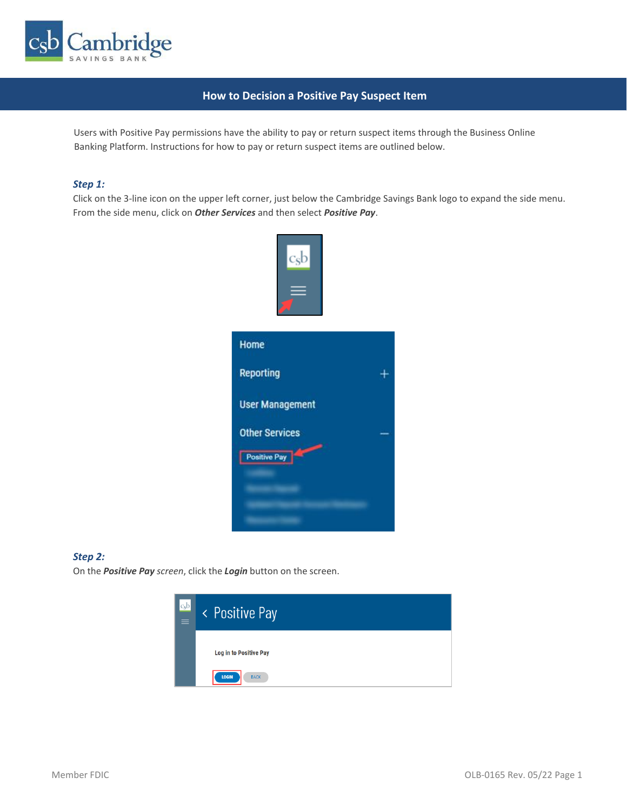

# **How to Decision a Positive Pay Suspect Item**

Users with Positive Pay permissions have the ability to pay or return suspect items through the Business Online Banking Platform. Instructions for how to pay or return suspect items are outlined below.

#### *Step 1:*

Click on the 3-line icon on the upper left corner, just below the Cambridge Savings Bank logo to expand the side menu. From the side menu, click on *Other Services* and then select *Positive Pay*.



#### *Step 2:*

On the *Positive Pay screen*, click the *Login* button on the screen.

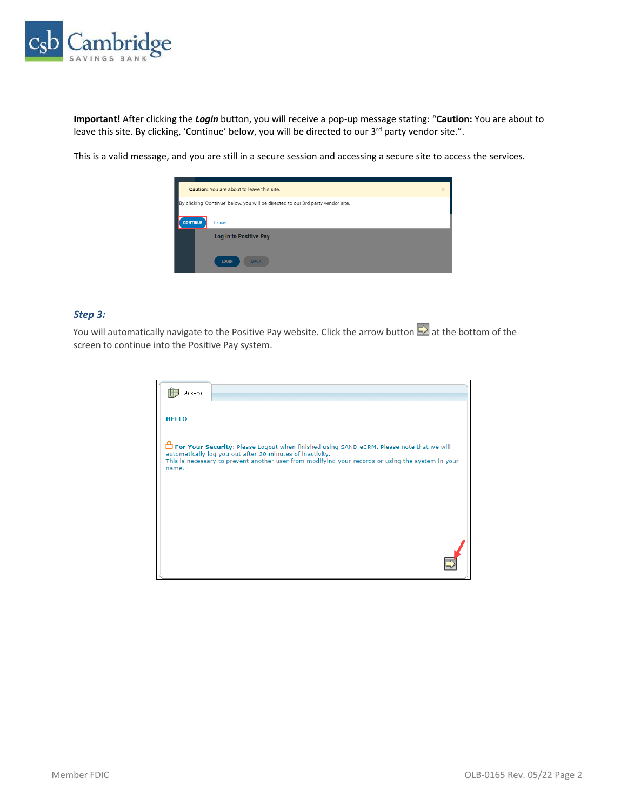

**Important!** After clicking the *Login* button, you will receive a pop-up message stating: "**Caution:** You are about to leave this site. By clicking, 'Continue' below, you will be directed to our 3<sup>rd</sup> party vendor site.".

This is a valid message, and you are still in a secure session and accessing a secure site to access the services.



#### *Step 3:*

You will automatically navigate to the Positive Pay website. Click the arrow button **button** at the bottom of the screen to continue into the Positive Pay system.

| Welcome                                                                                                                                                                                                                                                             |  |
|---------------------------------------------------------------------------------------------------------------------------------------------------------------------------------------------------------------------------------------------------------------------|--|
| <b>HELLO</b>                                                                                                                                                                                                                                                        |  |
| For Your Security: Please Logout when finished using SAND eCRM. Please note that we will<br>automatically log you out after 20 minutes of inactivity.<br>This is necessary to prevent another user from modifying your records or using the system in your<br>name. |  |
|                                                                                                                                                                                                                                                                     |  |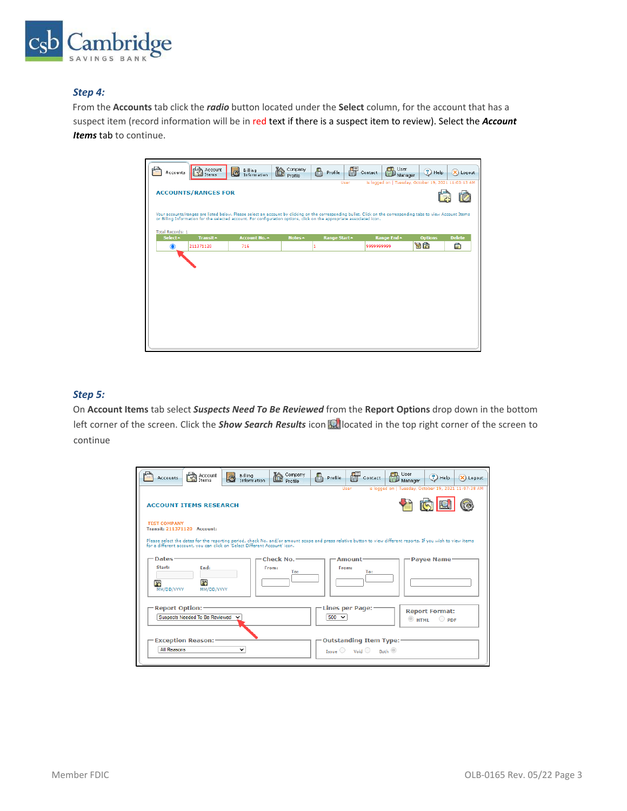

## *Step 4:*

From the **Accounts** tab click the *radio* button located under the **Select** column, for the account that has a suspect item (record information will be in red text if there is a suspect item to review). Select the *Account Items* tab to continue.



# *Step 5:*

On **Account Items** tab select *Suspects Need To Be Reviewed* from the **Report Options** drop down in the bottom left corner of the screen. Click the *Show Search Results* icon **Ref** located in the top right corner of the screen to continue

| <b>Accounts</b>                                           | Account                        | Billing<br>Information                                                                                                                                                                                                                       | 检<br>Company<br>Profile    | Δ<br>Profile | Contact                                                                                | <b>TD</b> , User<br>Manager                          | $(?)$ Help                              | (X) Logout |
|-----------------------------------------------------------|--------------------------------|----------------------------------------------------------------------------------------------------------------------------------------------------------------------------------------------------------------------------------------------|----------------------------|--------------|----------------------------------------------------------------------------------------|------------------------------------------------------|-----------------------------------------|------------|
|                                                           | <b>ACCOUNT ITEMS RESEARCH</b>  |                                                                                                                                                                                                                                              |                            |              | User                                                                                   | is logged on   Tuesday, October 19, 2021 11:07:38 AM |                                         |            |
| <b>TEST COMPANY</b><br><b>Transit: 211371120 Account:</b> |                                |                                                                                                                                                                                                                                              |                            |              |                                                                                        |                                                      |                                         |            |
|                                                           |                                | Please select the dates for the reporting period, check No. and/or amount scope and press relative button to view different reports. If you wish to view items<br>for a different account, you can click on 'Select Different Account' icon. |                            |              |                                                                                        |                                                      |                                         |            |
| Dates-<br>Start:<br>34<br>MM/DD/YYYY                      | End:<br>34<br>MM/DD/YYYY       |                                                                                                                                                                                                                                              | Check No.-<br>From:<br>To: |              | Amount-<br>From:<br>To:                                                                |                                                      | <b>Payee Name</b>                       |            |
| <b>Report Option:</b>                                     | Suspects Needed To Be Reviewed |                                                                                                                                                                                                                                              |                            | $500 \sim$   | Lines per Page:-                                                                       | $\circ$ HTML                                         | <b>Report Format:</b><br>$\bigcirc$ ppF |            |
| <b>All Reasons</b>                                        | <b>Exception Reason:-</b>      | ◡                                                                                                                                                                                                                                            |                            |              | <b>Outstanding Item Type:-</b><br>Issue $\bigcirc$ Void $\bigcirc$ Both $\circledcirc$ |                                                      |                                         |            |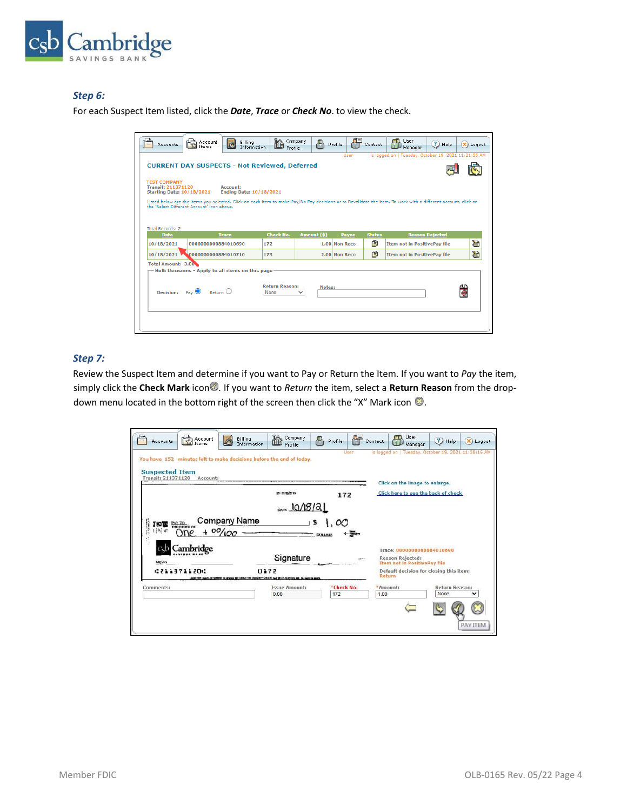

## *Step 6:*

For each Suspect Item listed, click the *Date*, *Trace* or *Check No*. to view the check.

| <b>Accounts</b>                                                                      | Account<br>Items                                                                                                     | Billing<br>Information                                                                                                                                         | Profile                       | Company<br>д          | Profile       | Contact       | User<br>Manager                     | ?) Help                | X) Logout |  |  |
|--------------------------------------------------------------------------------------|----------------------------------------------------------------------------------------------------------------------|----------------------------------------------------------------------------------------------------------------------------------------------------------------|-------------------------------|-----------------------|---------------|---------------|-------------------------------------|------------------------|-----------|--|--|
|                                                                                      | is logged on   Tuesday, October 19, 2021 11:21:55 AM<br>User<br><b>CURRENT DAY SUSPECTS - Not Reviewed, Deferred</b> |                                                                                                                                                                |                               |                       |               |               |                                     |                        |           |  |  |
| <b>TEST COMPANY</b><br><b>Transit: 211371120</b><br><b>Starting Date: 10/18/2021</b> |                                                                                                                      | Account:<br><b>Ending Date: 10/18/2021</b>                                                                                                                     |                               |                       |               |               |                                     |                        |           |  |  |
| the 'Select Different Account' icon above.                                           |                                                                                                                      | Listed below are the items you selected. Click on each item to make Pay/No Pay decisions or to Revalidate the item. To work with a different account, click on |                               |                       |               |               |                                     |                        |           |  |  |
| <b>Total Records: 2</b><br><b>Date</b>                                               |                                                                                                                      | <b>Trace</b>                                                                                                                                                   | <b>Check No.</b>              | Amount (\$)           | <b>Payee</b>  | <b>Status</b> |                                     | <b>Reason Rejected</b> |           |  |  |
| 10/18/2021                                                                           | 0000000000884010690                                                                                                  |                                                                                                                                                                | 172                           |                       | 1.00 Non Reco | 圉             | <b>Item not in PositivePay file</b> |                        | 冶         |  |  |
| 10/18/2021                                                                           | 0000000000884010710                                                                                                  |                                                                                                                                                                | 173                           |                       | 2.00 Non Reco | 圉             | <b>Item not in PositivePay file</b> |                        | 窗         |  |  |
| Total Amount: 3.00                                                                   |                                                                                                                      | -Bulk Decisions - Apply to all items on this page                                                                                                              |                               |                       |               |               |                                     |                        |           |  |  |
| Decision: Pay O                                                                      |                                                                                                                      | $R$ eturn $\bigcirc$                                                                                                                                           | <b>Return Reason:</b><br>None | Notes:<br>$\check{ }$ |               |               |                                     |                        |           |  |  |
|                                                                                      |                                                                                                                      |                                                                                                                                                                |                               |                       |               |               |                                     |                        |           |  |  |
|                                                                                      |                                                                                                                      |                                                                                                                                                                |                               |                       |               |               |                                     |                        |           |  |  |

## *Step 7:*

Review the Suspect Item and determine if you want to Pay or Return the Item. If you want to *Pay* the item, simply click the Check Mark icon<sup>7</sup>. If you want to *Return* the item, select a Return Reason from the dropdown menu located in the bottom right of the screen then click the "X" Mark icon  $\bigcirc$ .

| You have 152 minutes left to make decisions before the end of today.<br><b>Suspected Item</b><br><b>Transit: 211371120</b><br>Account: |                              | User       | is logged on   Tuesday, October 19, 2021 11:28:16 AM<br>Click on the image to enlarge. |                       |  |  |
|----------------------------------------------------------------------------------------------------------------------------------------|------------------------------|------------|----------------------------------------------------------------------------------------|-----------------------|--|--|
|                                                                                                                                        | 53-7112/2113                 | 172        | Click here to see the back of check                                                    |                       |  |  |
| Company Name<br><b>IS THE PAY TO</b><br>$1 9]$ $F$                                                                                     |                              | oo         |                                                                                        |                       |  |  |
| $+ 00/100$<br>Cambridge                                                                                                                |                              |            | Trace: 0000000000884010690                                                             |                       |  |  |
| MESSO                                                                                                                                  | Signature                    |            | <b>Reason Rejected:</b><br><b>Item not in PositivePay file</b>                         |                       |  |  |
| 02113711200<br>Comments:                                                                                                               | 0172<br><b>Issue Amount:</b> | *Check No: | Default decision for closing this item:<br>Return<br>*Amount:                          | <b>Return Reason:</b> |  |  |